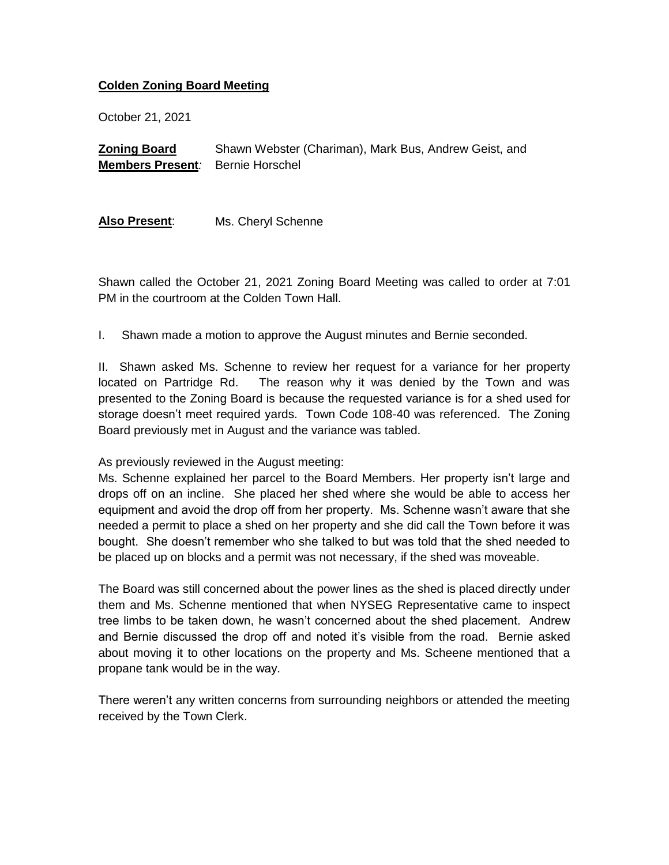## **Colden Zoning Board Meeting**

October 21, 2021

**Zoning Board Members Present***:* Bernie Horschel Shawn Webster (Chariman), Mark Bus, Andrew Geist, and

**Also Present**: Ms. Cheryl Schenne

Shawn called the October 21, 2021 Zoning Board Meeting was called to order at 7:01 PM in the courtroom at the Colden Town Hall.

I. Shawn made a motion to approve the August minutes and Bernie seconded.

II. Shawn asked Ms. Schenne to review her request for a variance for her property located on Partridge Rd. The reason why it was denied by the Town and was presented to the Zoning Board is because the requested variance is for a shed used for storage doesn't meet required yards. Town Code 108-40 was referenced. The Zoning Board previously met in August and the variance was tabled.

As previously reviewed in the August meeting:

Ms. Schenne explained her parcel to the Board Members. Her property isn't large and drops off on an incline. She placed her shed where she would be able to access her equipment and avoid the drop off from her property. Ms. Schenne wasn't aware that she needed a permit to place a shed on her property and she did call the Town before it was bought. She doesn't remember who she talked to but was told that the shed needed to be placed up on blocks and a permit was not necessary, if the shed was moveable.

The Board was still concerned about the power lines as the shed is placed directly under them and Ms. Schenne mentioned that when NYSEG Representative came to inspect tree limbs to be taken down, he wasn't concerned about the shed placement. Andrew and Bernie discussed the drop off and noted it's visible from the road. Bernie asked about moving it to other locations on the property and Ms. Scheene mentioned that a propane tank would be in the way.

There weren't any written concerns from surrounding neighbors or attended the meeting received by the Town Clerk.